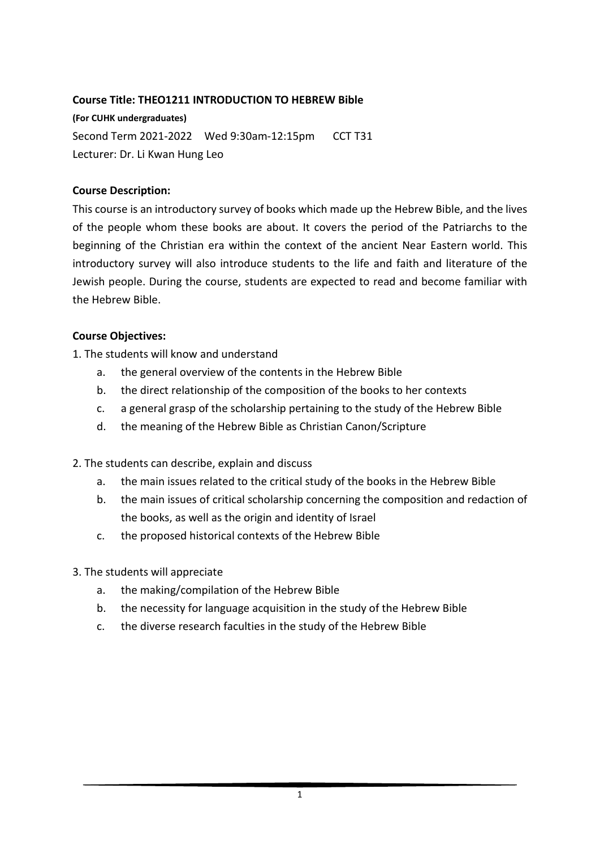### **Course Title: THEO1211 INTRODUCTION TO HEBREW Bible**

**(For CUHK undergraduates)** Second Term 2021-2022 Wed 9:30am-12:15pm CCT T31 Lecturer: Dr. Li Kwan Hung Leo

#### **Course Description:**

This course is an introductory survey of books which made up the Hebrew Bible, and the lives of the people whom these books are about. It covers the period of the Patriarchs to the beginning of the Christian era within the context of the ancient Near Eastern world. This introductory survey will also introduce students to the life and faith and literature of the Jewish people. During the course, students are expected to read and become familiar with the Hebrew Bible.

#### **Course Objectives:**

1. The students will know and understand

- a. the general overview of the contents in the Hebrew Bible
- b. the direct relationship of the composition of the books to her contexts
- c. a general grasp of the scholarship pertaining to the study of the Hebrew Bible
- d. the meaning of the Hebrew Bible as Christian Canon/Scripture

2. The students can describe, explain and discuss

- a. the main issues related to the critical study of the books in the Hebrew Bible
- b. the main issues of critical scholarship concerning the composition and redaction of the books, as well as the origin and identity of Israel
- c. the proposed historical contexts of the Hebrew Bible
- 3. The students will appreciate
	- a. the making/compilation of the Hebrew Bible
	- b. the necessity for language acquisition in the study of the Hebrew Bible
	- c. the diverse research faculties in the study of the Hebrew Bible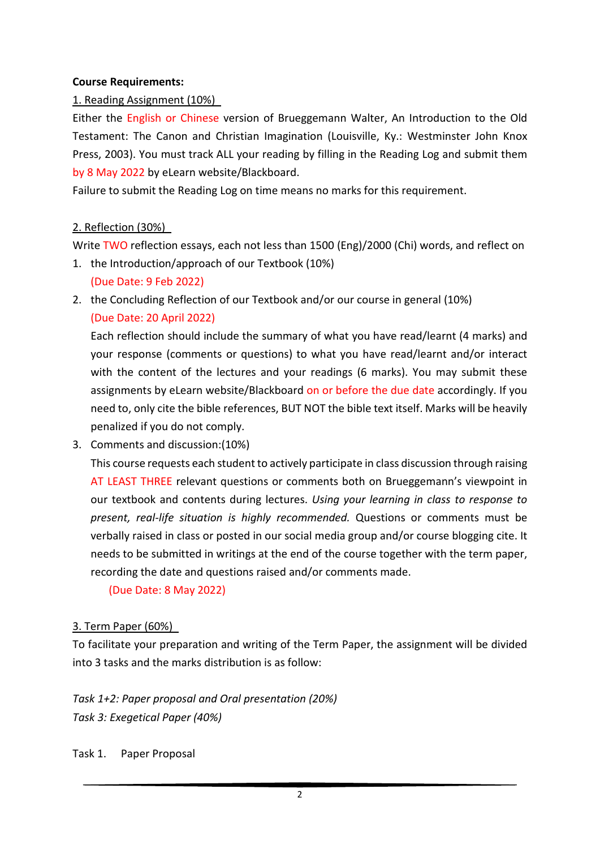### **Course Requirements:**

## 1. Reading Assignment (10%)

Either the English or Chinese version of Brueggemann Walter, An Introduction to the Old Testament: The Canon and Christian Imagination (Louisville, Ky.: Westminster John Knox Press, 2003). You must track ALL your reading by filling in the Reading Log and submit them by 8 May 2022 by eLearn website/Blackboard.

Failure to submit the Reading Log on time means no marks for this requirement.

### 2. Reflection (30%)

Write TWO reflection essays, each not less than 1500 (Eng)/2000 (Chi) words, and reflect on

- 1. the Introduction/approach of our Textbook (10%)
	- (Due Date: 9 Feb 2022)
- 2. the Concluding Reflection of our Textbook and/or our course in general (10%) (Due Date: 20 April 2022)

Each reflection should include the summary of what you have read/learnt (4 marks) and your response (comments or questions) to what you have read/learnt and/or interact with the content of the lectures and your readings (6 marks). You may submit these assignments by eLearn website/Blackboard on or before the due date accordingly. If you need to, only cite the bible references, BUT NOT the bible text itself. Marks will be heavily penalized if you do not comply.

3. Comments and discussion:(10%)

This course requests each student to actively participate in class discussion through raising AT LEAST THREE relevant questions or comments both on Brueggemann's viewpoint in our textbook and contents during lectures. *Using your learning in class to response to present, real-life situation is highly recommended.* Questions or comments must be verbally raised in class or posted in our social media group and/or course blogging cite. It needs to be submitted in writings at the end of the course together with the term paper, recording the date and questions raised and/or comments made.

(Due Date: 8 May 2022)

## 3. Term Paper (60%)

To facilitate your preparation and writing of the Term Paper, the assignment will be divided into 3 tasks and the marks distribution is as follow:

*Task 1+2: Paper proposal and Oral presentation (20%) Task 3: Exegetical Paper (40%)*

Task 1. Paper Proposal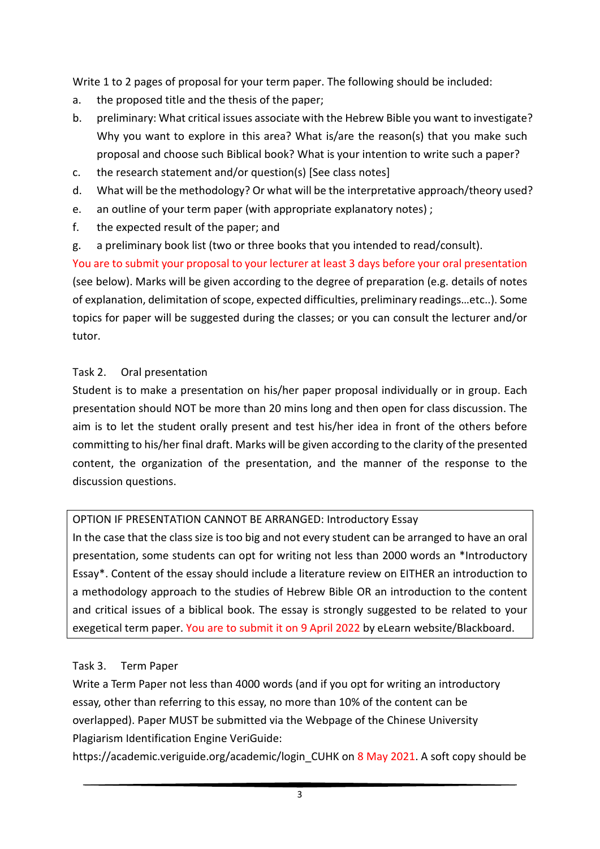Write 1 to 2 pages of proposal for your term paper. The following should be included:

- a. the proposed title and the thesis of the paper;
- b. preliminary: What critical issues associate with the Hebrew Bible you want to investigate? Why you want to explore in this area? What is/are the reason(s) that you make such proposal and choose such Biblical book? What is your intention to write such a paper?
- c. the research statement and/or question(s) [See class notes]
- d. What will be the methodology? Or what will be the interpretative approach/theory used?
- e. an outline of your term paper (with appropriate explanatory notes) ;
- f. the expected result of the paper; and
- g. a preliminary book list (two or three books that you intended to read/consult).

You are to submit your proposal to your lecturer at least 3 days before your oral presentation (see below). Marks will be given according to the degree of preparation (e.g. details of notes of explanation, delimitation of scope, expected difficulties, preliminary readings…etc..). Some topics for paper will be suggested during the classes; or you can consult the lecturer and/or tutor.

## Task 2. Oral presentation

Student is to make a presentation on his/her paper proposal individually or in group. Each presentation should NOT be more than 20 mins long and then open for class discussion. The aim is to let the student orally present and test his/her idea in front of the others before committing to his/her final draft. Marks will be given according to the clarity of the presented content, the organization of the presentation, and the manner of the response to the discussion questions.

## OPTION IF PRESENTATION CANNOT BE ARRANGED: Introductory Essay

In the case that the class size is too big and not every student can be arranged to have an oral presentation, some students can opt for writing not less than 2000 words an \*Introductory Essay\*. Content of the essay should include a literature review on EITHER an introduction to a methodology approach to the studies of Hebrew Bible OR an introduction to the content and critical issues of a biblical book. The essay is strongly suggested to be related to your exegetical term paper. You are to submit it on 9 April 2022 by eLearn website/Blackboard.

# Task 3. Term Paper

Write a Term Paper not less than 4000 words (and if you opt for writing an introductory essay, other than referring to this essay, no more than 10% of the content can be overlapped). Paper MUST be submitted via the Webpage of the Chinese University Plagiarism Identification Engine VeriGuide:

https://academic.veriguide.org/academic/login\_CUHK on 8 May 2021. A soft copy should be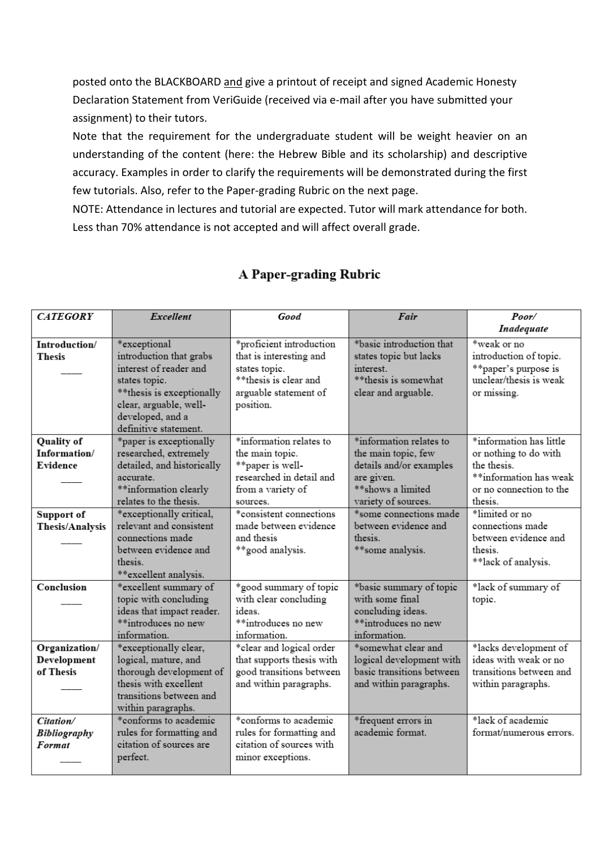posted onto the BLACKBOARD and give a printout of receipt and signed Academic Honesty Declaration Statement from VeriGuide (received via e-mail after you have submitted your assignment) to their tutors.

Note that the requirement for the undergraduate student will be weight heavier on an understanding of the content (here: the Hebrew Bible and its scholarship) and descriptive accuracy. Examples in order to clarify the requirements will be demonstrated during the first few tutorials. Also, refer to the Paper-grading Rubric on the next page.

NOTE: Attendance in lectures and tutorial are expected. Tutor will mark attendance for both. Less than 70% attendance is not accepted and will affect overall grade.

| <b>CATEGORY</b>                            | Excellent                                                                                                                                          | Good                                                                                                                                | Fair                                                                                                            | Poor/                                                                                                                |
|--------------------------------------------|----------------------------------------------------------------------------------------------------------------------------------------------------|-------------------------------------------------------------------------------------------------------------------------------------|-----------------------------------------------------------------------------------------------------------------|----------------------------------------------------------------------------------------------------------------------|
| Introduction/<br><b>Thesis</b>             | *exceptional<br>introduction that grabs<br>interest of reader and<br>states topic.<br>** thesis is exceptionally<br>clear, arguable, well-         | *proficient introduction<br>that is interesting and<br>states topic.<br>**thesis is clear and<br>arguable statement of<br>position. | *basic introduction that<br>states topic but lacks<br>interest.<br>** thesis is somewhat<br>clear and arguable. | Inadequate<br>*weak or no<br>introduction of topic.<br>**paper's purpose is<br>unclear/thesis is weak<br>or missing. |
| <b>Quality of</b><br>Information/          | developed, and a<br>definitive statement.<br>*paper is exceptionally<br>researched, extremely                                                      | *information relates to<br>the main topic.                                                                                          | *information relates to<br>the main topic, few                                                                  | *information has little<br>or nothing to do with                                                                     |
| Evidence                                   | detailed, and historically<br>accurate.<br>**information clearly<br>relates to the thesis.                                                         | **paper is well-<br>researched in detail and<br>from a variety of<br>sources.                                                       | details and/or examples<br>are given.<br>** shows a limited<br>variety of sources.                              | the thesis.<br>**information has weak<br>or no connection to the<br>thesis.                                          |
| Support of<br>Thesis/Analysis              | *exceptionally critical,<br>relevant and consistent<br>connections made<br>between evidence and<br>thesis.<br>**excellent analysis.                | *consistent connections<br>made between evidence<br>and thesis<br>**good analysis.                                                  | *some connections made<br>between evidence and<br>thesis.<br>**some analysis.                                   | *limited or no<br>connections made<br>between evidence and<br>thesis.<br>**lack of analysis.                         |
| Conclusion                                 | *excellent summary of<br>topic with concluding<br>ideas that impact reader.<br>**introduces no new<br>information.                                 | *good summary of topic<br>with clear concluding<br>ideas.<br>**introduces no new<br>information.                                    | *basic summary of topic<br>with some final<br>concluding ideas.<br>**introduces no new<br>information.          | *lack of summary of<br>topic.                                                                                        |
| Organization/<br>Development<br>of Thesis  | *exceptionally clear,<br>logical, mature, and<br>thorough development of<br>thesis with excellent<br>transitions between and<br>within paragraphs. | *clear and logical order<br>that supports thesis with<br>good transitions between<br>and within paragraphs.                         | *somewhat clear and<br>logical development with<br>basic transitions between<br>and within paragraphs.          | *lacks development of<br>ideas with weak or no<br>transitions between and<br>within paragraphs.                      |
| Citation/<br><b>Bibliography</b><br>Format | *conforms to academic<br>rules for formatting and<br>citation of sources are<br>perfect.                                                           | *conforms to academic<br>rules for formatting and<br>citation of sources with<br>minor exceptions.                                  | *frequent errors in<br>academic format.                                                                         | *lack of academic<br>format/numerous errors.                                                                         |

# A Paper-grading Rubric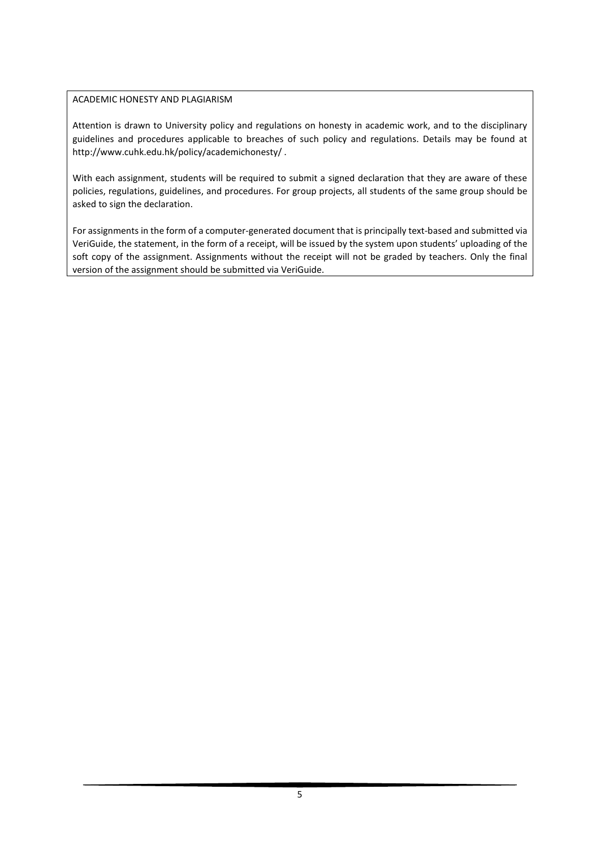#### ACADEMIC HONESTY AND PLAGIARISM

Attention is drawn to University policy and regulations on honesty in academic work, and to the disciplinary guidelines and procedures applicable to breaches of such policy and regulations. Details may be found at http://www.cuhk.edu.hk/policy/academichonesty/ .

With each assignment, students will be required to submit a signed declaration that they are aware of these policies, regulations, guidelines, and procedures. For group projects, all students of the same group should be asked to sign the declaration.

For assignments in the form of a computer-generated document that is principally text-based and submitted via VeriGuide, the statement, in the form of a receipt, will be issued by the system upon students' uploading of the soft copy of the assignment. Assignments without the receipt will not be graded by teachers. Only the final version of the assignment should be submitted via VeriGuide.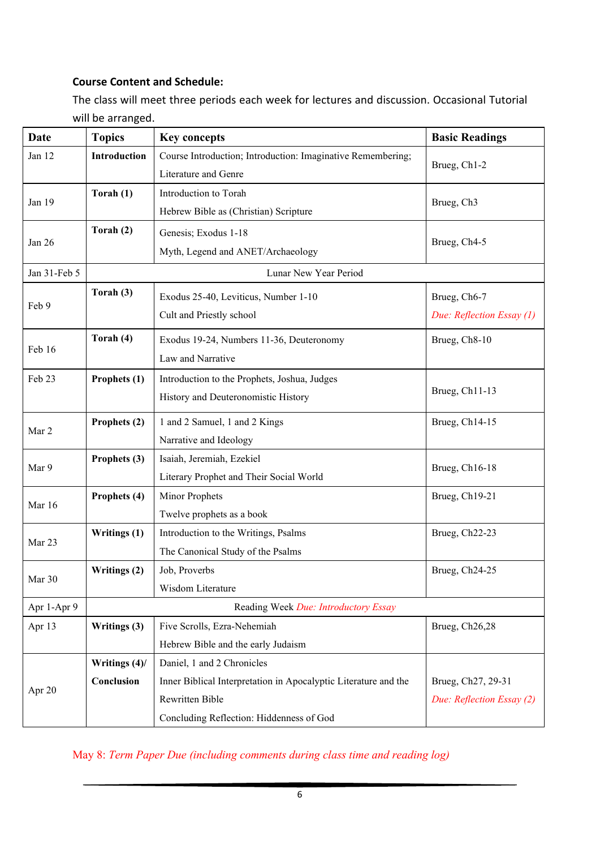## **Course Content and Schedule:**

The class will meet three periods each week for lectures and discussion. Occasional Tutorial will be arranged.

| Date         | <b>Topics</b>                        | <b>Key concepts</b>                                             | <b>Basic Readings</b>     |  |  |  |
|--------------|--------------------------------------|-----------------------------------------------------------------|---------------------------|--|--|--|
| Jan 12       | Introduction                         | Course Introduction; Introduction: Imaginative Remembering;     | Brueg, Ch1-2              |  |  |  |
|              |                                      | Literature and Genre                                            |                           |  |  |  |
| Jan 19       | Torah (1)                            | Introduction to Torah                                           | Brueg, Ch <sub>3</sub>    |  |  |  |
|              |                                      | Hebrew Bible as (Christian) Scripture                           |                           |  |  |  |
| Jan 26       | Torah (2)                            | Genesis; Exodus 1-18                                            | Brueg, Ch4-5              |  |  |  |
|              |                                      | Myth, Legend and ANET/Archaeology                               |                           |  |  |  |
| Jan 31-Feb 5 |                                      | Lunar New Year Period                                           |                           |  |  |  |
| Feb 9        | Torah (3)                            | Exodus 25-40, Leviticus, Number 1-10                            | Brueg, Ch6-7              |  |  |  |
|              |                                      | Cult and Priestly school                                        | Due: Reflection Essay (1) |  |  |  |
|              | Torah (4)                            |                                                                 |                           |  |  |  |
| Feb 16       |                                      | Exodus 19-24, Numbers 11-36, Deuteronomy<br>Law and Narrative   | Brueg, Ch8-10             |  |  |  |
|              |                                      |                                                                 |                           |  |  |  |
| Feb 23       | Prophets (1)                         | Introduction to the Prophets, Joshua, Judges                    | Brueg, Ch11-13            |  |  |  |
|              |                                      | History and Deuteronomistic History                             |                           |  |  |  |
| Mar 2        | Prophets (2)                         | 1 and 2 Samuel, 1 and 2 Kings                                   | Brueg, Ch14-15            |  |  |  |
|              |                                      | Narrative and Ideology                                          |                           |  |  |  |
| Mar 9        | Prophets (3)                         | Isaiah, Jeremiah, Ezekiel                                       | Brueg, Ch16-18            |  |  |  |
|              |                                      | Literary Prophet and Their Social World                         |                           |  |  |  |
| Mar 16       | Prophets (4)                         | Minor Prophets                                                  | Brueg, Ch19-21            |  |  |  |
|              |                                      | Twelve prophets as a book                                       |                           |  |  |  |
| Mar 23       | Writings (1)                         | Introduction to the Writings, Psalms                            | Brueg, Ch22-23            |  |  |  |
|              |                                      | The Canonical Study of the Psalms                               |                           |  |  |  |
| Mar 30       | Writings (2)                         | Job, Proverbs                                                   | Brueg, Ch24-25            |  |  |  |
|              |                                      | Wisdom Literature                                               |                           |  |  |  |
| Apr 1-Apr 9  | Reading Week Due: Introductory Essay |                                                                 |                           |  |  |  |
| Apr 13       | Writings (3)                         | Five Scrolls, Ezra-Nehemiah                                     | Brueg, Ch26,28            |  |  |  |
|              |                                      | Hebrew Bible and the early Judaism                              |                           |  |  |  |
| Apr 20       | Writings (4)/                        | Daniel, 1 and 2 Chronicles                                      |                           |  |  |  |
|              | Conclusion                           | Inner Biblical Interpretation in Apocalyptic Literature and the | Brueg, Ch27, 29-31        |  |  |  |
|              |                                      | Rewritten Bible                                                 | Due: Reflection Essay (2) |  |  |  |
|              |                                      | Concluding Reflection: Hiddenness of God                        |                           |  |  |  |

May 8: *Term Paper Due (including comments during class time and reading log)*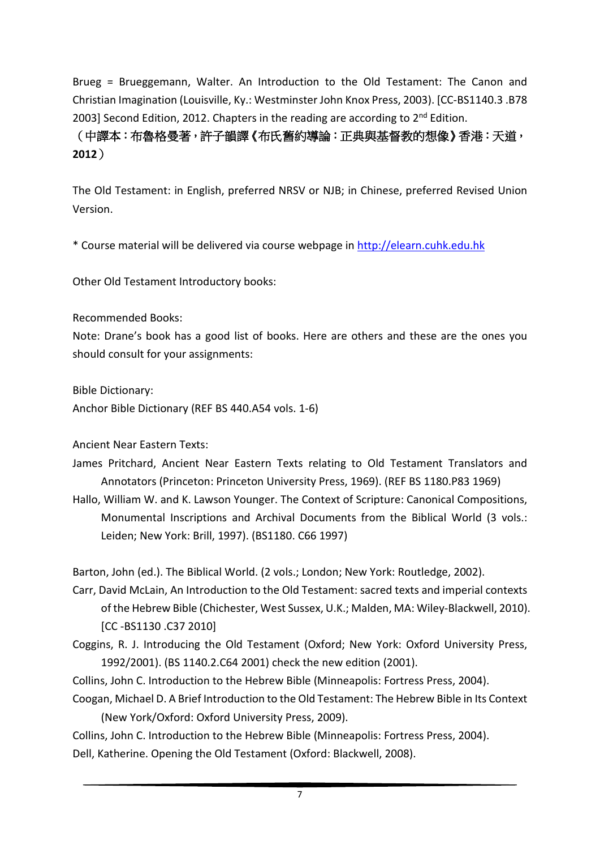Brueg = Brueggemann, Walter. An Introduction to the Old Testament: The Canon and Christian Imagination (Louisville, Ky.: Westminster John Knox Press, 2003). [CC-BS1140.3 .B78 2003] Second Edition, 2012. Chapters in the reading are according to  $2<sup>nd</sup>$  Edition.

(中譯本:布魯格曼著,許子韻譯《布氏舊約導論:正典與基督教的想像》香港:天道, **2012**)

The Old Testament: in English, preferred NRSV or NJB; in Chinese, preferred Revised Union Version.

\* Course material will be delivered via course webpage in [http://elearn.cuhk.edu.hk](http://elearn.cuhk.edu.hk/)

Other Old Testament Introductory books:

Recommended Books:

Note: Drane's book has a good list of books. Here are others and these are the ones you should consult for your assignments:

Bible Dictionary:

Anchor Bible Dictionary (REF BS 440.A54 vols. 1-6)

Ancient Near Eastern Texts:

James Pritchard, Ancient Near Eastern Texts relating to Old Testament Translators and Annotators (Princeton: Princeton University Press, 1969). (REF BS 1180.P83 1969)

Hallo, William W. and K. Lawson Younger. The Context of Scripture: Canonical Compositions, Monumental Inscriptions and Archival Documents from the Biblical World (3 vols.: Leiden; New York: Brill, 1997). (BS1180. C66 1997)

Barton, John (ed.). The Biblical World. (2 vols.; London; New York: Routledge, 2002).

- Carr, David McLain, An Introduction to the Old Testament: sacred texts and imperial contexts of the Hebrew Bible (Chichester, West Sussex, U.K.; Malden, MA: Wiley-Blackwell, 2010). [CC -BS1130 .C37 2010]
- Coggins, R. J. Introducing the Old Testament (Oxford; New York: Oxford University Press, 1992/2001). (BS 1140.2.C64 2001) check the new edition (2001).
- Collins, John C. Introduction to the Hebrew Bible (Minneapolis: Fortress Press, 2004).
- Coogan, Michael D. A Brief Introduction to the Old Testament: The Hebrew Bible in Its Context (New York/Oxford: Oxford University Press, 2009).

Collins, John C. Introduction to the Hebrew Bible (Minneapolis: Fortress Press, 2004).

Dell, Katherine. Opening the Old Testament (Oxford: Blackwell, 2008).